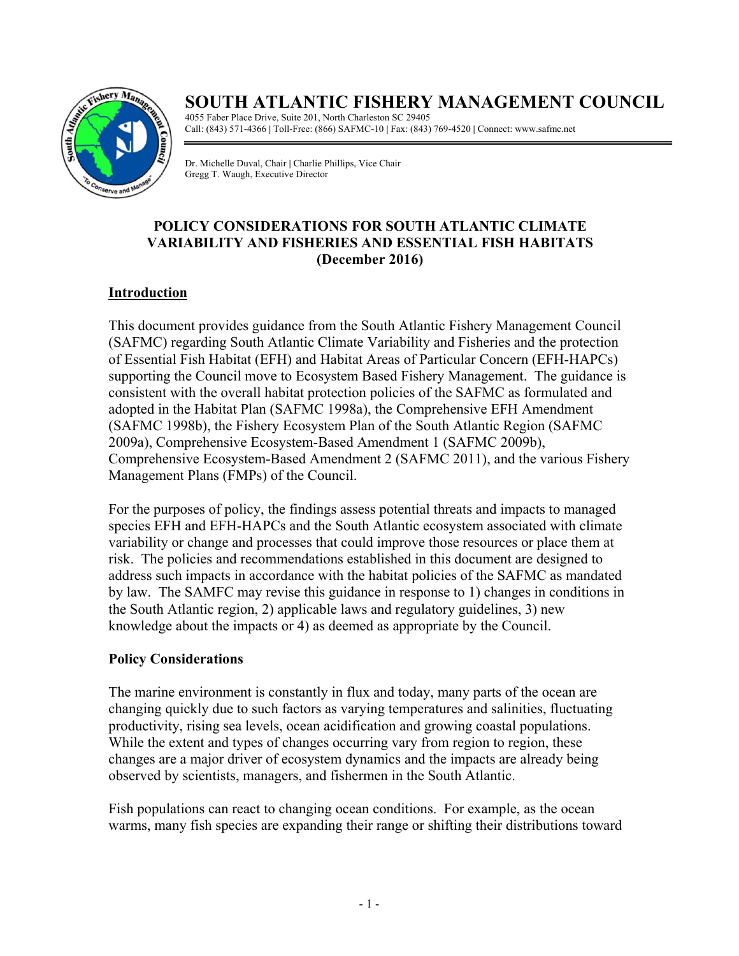

# **SOUTH ATLANTIC FISHERY MANAGEMENT COUNCIL**

4055 Faber Place Drive, Suite 201, North Charleston SC 29405 Call: (843) 571-4366 **|** Toll-Free: (866) SAFMC-10 **|** Fax: (843) 769-4520 **|** Connect: www.safmc.net

Dr. Michelle Duval, Chair **|** Charlie Phillips, Vice Chair Gregg T. Waugh, Executive Director

# **POLICY CONSIDERATIONS FOR SOUTH ATLANTIC CLIMATE VARIABILITY AND FISHERIES AND ESSENTIAL FISH HABITATS (December 2016)**

## **Introduction**

This document provides guidance from the South Atlantic Fishery Management Council (SAFMC) regarding South Atlantic Climate Variability and Fisheries and the protection of Essential Fish Habitat (EFH) and Habitat Areas of Particular Concern (EFH-HAPCs) supporting the Council move to Ecosystem Based Fishery Management. The guidance is consistent with the overall habitat protection policies of the SAFMC as formulated and adopted in the Habitat Plan (SAFMC 1998a), the Comprehensive EFH Amendment (SAFMC 1998b), the Fishery Ecosystem Plan of the South Atlantic Region (SAFMC 2009a), Comprehensive Ecosystem-Based Amendment 1 (SAFMC 2009b), Comprehensive Ecosystem-Based Amendment 2 (SAFMC 2011), and the various Fishery Management Plans (FMPs) of the Council.

For the purposes of policy, the findings assess potential threats and impacts to managed species EFH and EFH-HAPCs and the South Atlantic ecosystem associated with climate variability or change and processes that could improve those resources or place them at risk. The policies and recommendations established in this document are designed to address such impacts in accordance with the habitat policies of the SAFMC as mandated by law. The SAMFC may revise this guidance in response to 1) changes in conditions in the South Atlantic region, 2) applicable laws and regulatory guidelines, 3) new knowledge about the impacts or 4) as deemed as appropriate by the Council.

#### **Policy Considerations**

The marine environment is constantly in flux and today, many parts of the ocean are changing quickly due to such factors as varying temperatures and salinities, fluctuating productivity, rising sea levels, ocean acidification and growing coastal populations. While the extent and types of changes occurring vary from region to region, these changes are a major driver of ecosystem dynamics and the impacts are already being observed by scientists, managers, and fishermen in the South Atlantic.

Fish populations can react to changing ocean conditions. For example, as the ocean warms, many fish species are expanding their range or shifting their distributions toward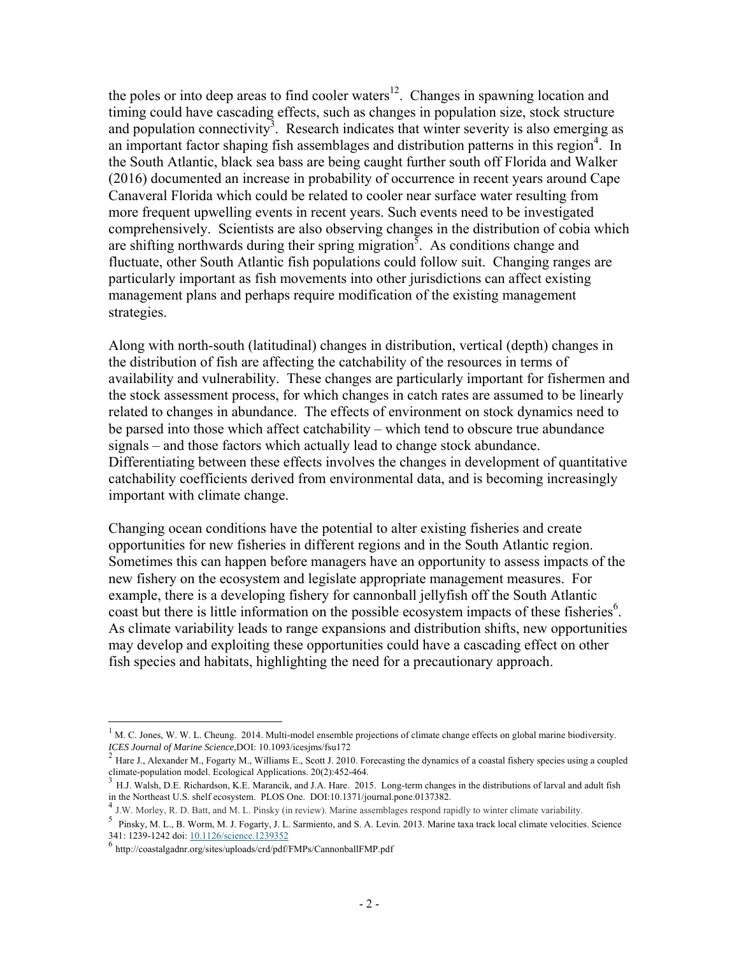the poles or into deep areas to find cooler waters $12$ . Changes in spawning location and timing could have cascading effects, such as changes in population size, stock structure and population connectivity<sup>3</sup>. Research indicates that winter severity is also emerging as an important factor shaping fish assemblages and distribution patterns in this region<sup>4</sup>. In the South Atlantic, black sea bass are being caught further south off Florida and Walker (2016) documented an increase in probability of occurrence in recent years around Cape Canaveral Florida which could be related to cooler near surface water resulting from more frequent upwelling events in recent years. Such events need to be investigated comprehensively. Scientists are also observing changes in the distribution of cobia which are shifting northwards during their spring migration<sup>5</sup>. As conditions change and fluctuate, other South Atlantic fish populations could follow suit. Changing ranges are particularly important as fish movements into other jurisdictions can affect existing management plans and perhaps require modification of the existing management strategies.

Along with north-south (latitudinal) changes in distribution, vertical (depth) changes in the distribution of fish are affecting the catchability of the resources in terms of availability and vulnerability. These changes are particularly important for fishermen and the stock assessment process, for which changes in catch rates are assumed to be linearly related to changes in abundance. The effects of environment on stock dynamics need to be parsed into those which affect catchability – which tend to obscure true abundance signals – and those factors which actually lead to change stock abundance. Differentiating between these effects involves the changes in development of quantitative catchability coefficients derived from environmental data, and is becoming increasingly important with climate change.

Changing ocean conditions have the potential to alter existing fisheries and create opportunities for new fisheries in different regions and in the South Atlantic region. Sometimes this can happen before managers have an opportunity to assess impacts of the new fishery on the ecosystem and legislate appropriate management measures. For example, there is a developing fishery for cannonball jellyfish off the South Atlantic coast but there is little information on the possible ecosystem impacts of these fisheries<sup>6</sup>. As climate variability leads to range expansions and distribution shifts, new opportunities may develop and exploiting these opportunities could have a cascading effect on other fish species and habitats, highlighting the need for a precautionary approach.

 $\overline{a}$ 

 $1$  M. C. Jones, W. W. L. Cheung. 2014. Multi-model ensemble projections of climate change effects on global marine biodiversity. *ICES Journal of Marine Science*,DOI: 10.1093/icesjms/fsu172<br><sup>2</sup> Hare J., Alexander M., Fogarty M., Williams E., Scott J. 2010. Forecasting the dynamics of a coastal fishery species using a coupled

climate-population model. Ecological Applications. 20(2):452-464.

 $3$  H.J. Walsh, D.E. Richardson, K.E. Marancik, and J.A. Hare. 2015. Long-term changes in the distributions of larval and adult fish in the Northeast U.S. shelf ecosystem. PLOS One. DOI:10.1371/journal.pone.0137382.

If the Northeast U.S. shelf ecosystem. PLOS One. Plus One. DOI: 10.1371. The Assemblages respond rapidly to winter climate variability.

<sup>5</sup> Pinsky, M. L., B. Worm, M. J. Fogarty, J. L. Sarmiento, and S. A. Levin. 2013. Marine taxa track local climate velocities. Science 341: 1239-1242 doi: 10.1126/science.1239352 6 http://coastalgadnr.org/sites/uploads/crd/pdf/FMPs/CannonballFMP.pdf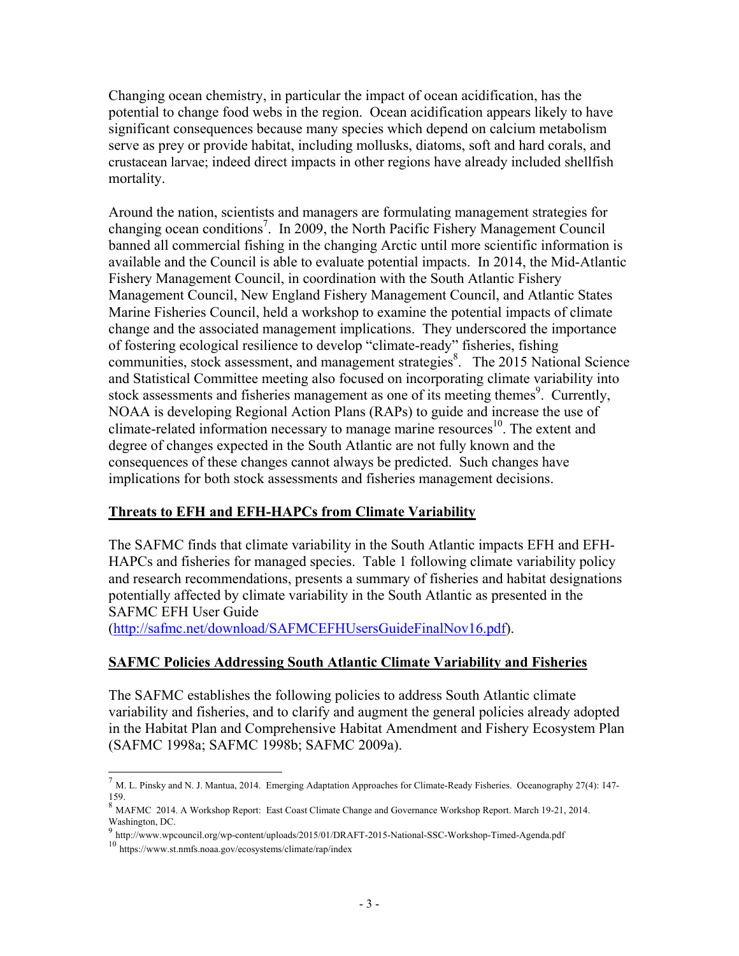Changing ocean chemistry, in particular the impact of ocean acidification, has the potential to change food webs in the region. Ocean acidification appears likely to have significant consequences because many species which depend on calcium metabolism serve as prey or provide habitat, including mollusks, diatoms, soft and hard corals, and crustacean larvae; indeed direct impacts in other regions have already included shellfish mortality.

Around the nation, scientists and managers are formulating management strategies for changing ocean conditions<sup>7</sup>. In 2009, the North Pacific Fishery Management Council banned all commercial fishing in the changing Arctic until more scientific information is available and the Council is able to evaluate potential impacts. In 2014, the Mid-Atlantic Fishery Management Council, in coordination with the South Atlantic Fishery Management Council, New England Fishery Management Council, and Atlantic States Marine Fisheries Council, held a workshop to examine the potential impacts of climate change and the associated management implications. They underscored the importance of fostering ecological resilience to develop "climate-ready" fisheries, fishing communities, stock assessment, and management strategies<sup>8</sup>. The 2015 National Science and Statistical Committee meeting also focused on incorporating climate variability into stock assessments and fisheries management as one of its meeting themes<sup>9</sup>. Currently, NOAA is developing Regional Action Plans (RAPs) to guide and increase the use of climate-related information necessary to manage marine resources 10. The extent and degree of changes expected in the South Atlantic are not fully known and the consequences of these changes cannot always be predicted. Such changes have implications for both stock assessments and fisheries management decisions.

#### **Threats to EFH and EFH-HAPCs from Climate Variability**

The SAFMC finds that climate variability in the South Atlantic impacts EFH and EFH-HAPCs and fisheries for managed species. Table 1 following climate variability policy and research recommendations, presents a summary of fisheries and habitat designations potentially affected by climate variability in the South Atlantic as presented in the SAFMC EFH User Guide

(http://safmc.net/download/SAFMCEFHUsersGuideFinalNov16.pdf).

#### **SAFMC Policies Addressing South Atlantic Climate Variability and Fisheries**

The SAFMC establishes the following policies to address South Atlantic climate variability and fisheries, and to clarify and augment the general policies already adopted in the Habitat Plan and Comprehensive Habitat Amendment and Fishery Ecosystem Plan (SAFMC 1998a; SAFMC 1998b; SAFMC 2009a).

 $\overline{a}$ 

<sup>7</sup> M. L. Pinsky and N. J. Mantua, 2014. Emerging Adaptation Approaches for Climate-Ready Fisheries. Oceanography 27(4): 147- 159.

<sup>8</sup> MAFMC 2014. A Workshop Report: East Coast Climate Change and Governance Workshop Report. March 19-21, 2014. Washington, DC.

<sup>9</sup> http://www.wpcouncil.org/wp-content/uploads/2015/01/DRAFT-2015-National-SSC-Workshop-Timed-Agenda.pdf

<sup>10</sup> https://www.st.nmfs.noaa.gov/ecosystems/climate/rap/index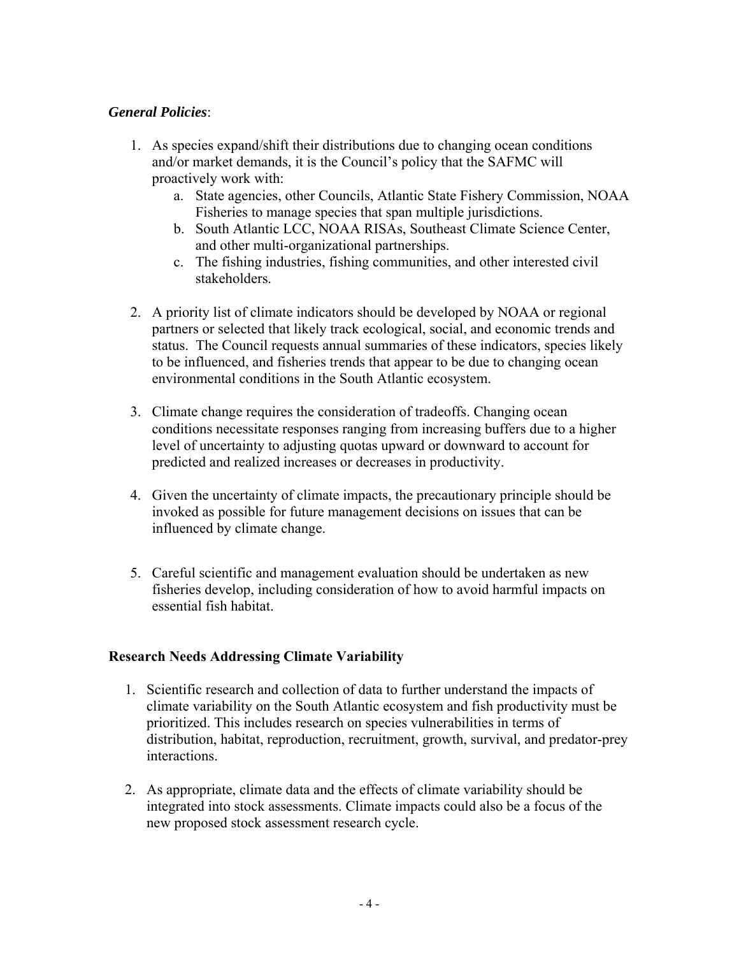### *General Policies*:

- 1. As species expand/shift their distributions due to changing ocean conditions and/or market demands, it is the Council's policy that the SAFMC will proactively work with:
	- a. State agencies, other Councils, Atlantic State Fishery Commission, NOAA Fisheries to manage species that span multiple jurisdictions.
	- b. South Atlantic LCC, NOAA RISAs, Southeast Climate Science Center, and other multi-organizational partnerships.
	- c. The fishing industries, fishing communities, and other interested civil stakeholders.
- 2. A priority list of climate indicators should be developed by NOAA or regional partners or selected that likely track ecological, social, and economic trends and status. The Council requests annual summaries of these indicators, species likely to be influenced, and fisheries trends that appear to be due to changing ocean environmental conditions in the South Atlantic ecosystem.
- 3. Climate change requires the consideration of tradeoffs. Changing ocean conditions necessitate responses ranging from increasing buffers due to a higher level of uncertainty to adjusting quotas upward or downward to account for predicted and realized increases or decreases in productivity.
- 4. Given the uncertainty of climate impacts, the precautionary principle should be invoked as possible for future management decisions on issues that can be influenced by climate change.
- 5. Careful scientific and management evaluation should be undertaken as new fisheries develop, including consideration of how to avoid harmful impacts on essential fish habitat.

#### **Research Needs Addressing Climate Variability**

- 1. Scientific research and collection of data to further understand the impacts of climate variability on the South Atlantic ecosystem and fish productivity must be prioritized. This includes research on species vulnerabilities in terms of distribution, habitat, reproduction, recruitment, growth, survival, and predator-prey interactions.
- 2. As appropriate, climate data and the effects of climate variability should be integrated into stock assessments. Climate impacts could also be a focus of the new proposed stock assessment research cycle.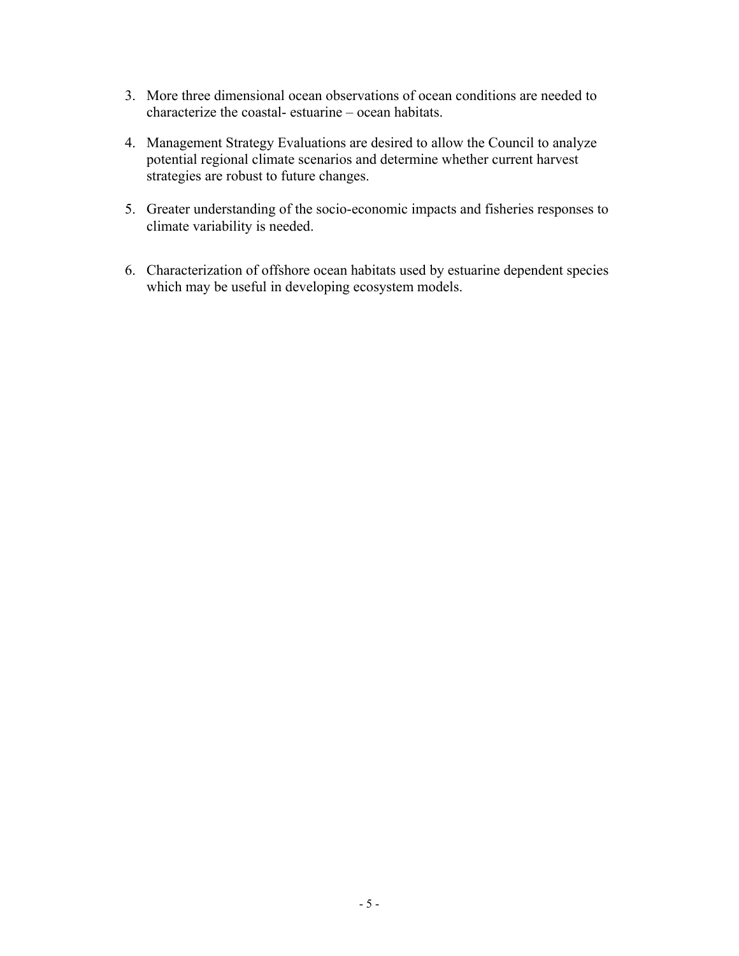- 3. More three dimensional ocean observations of ocean conditions are needed to characterize the coastal- estuarine – ocean habitats.
- 4. Management Strategy Evaluations are desired to allow the Council to analyze potential regional climate scenarios and determine whether current harvest strategies are robust to future changes.
- 5. Greater understanding of the socio-economic impacts and fisheries responses to climate variability is needed.
- 6. Characterization of offshore ocean habitats used by estuarine dependent species which may be useful in developing ecosystem models.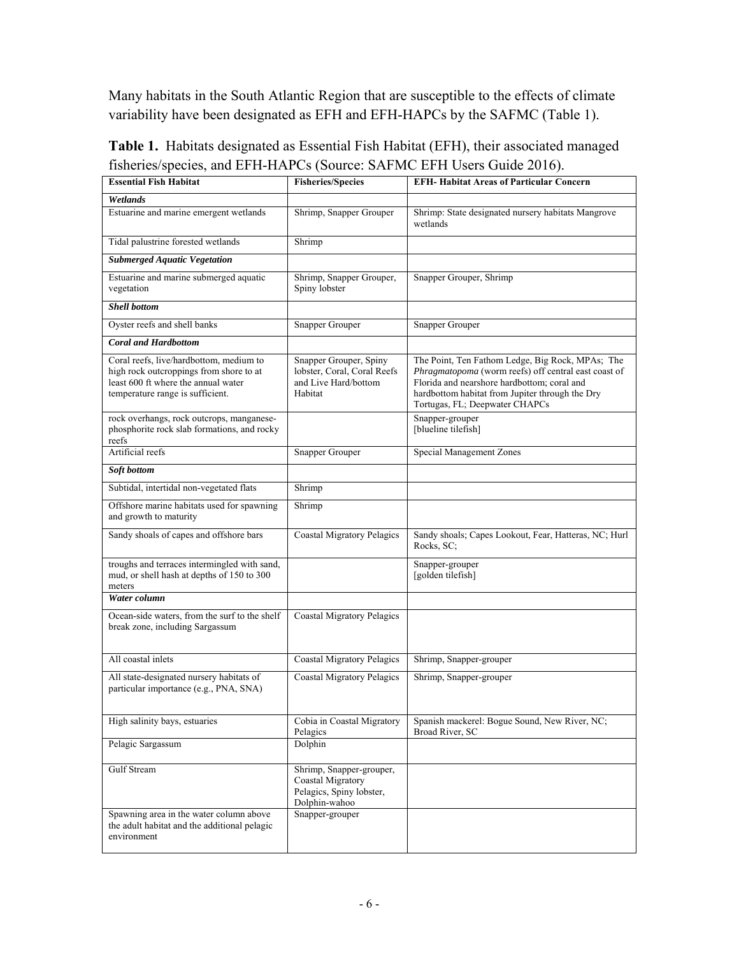Many habitats in the South Atlantic Region that are susceptible to the effects of climate variability have been designated as EFH and EFH-HAPCs by the SAFMC (Table 1).

| <b>Essential Fish Habitat</b>                                                                                                                                 | <b>Fisheries/Species</b>                                                                   | <b>EFH- Habitat Areas of Particular Concern</b>                                                                                                                                                                                              |
|---------------------------------------------------------------------------------------------------------------------------------------------------------------|--------------------------------------------------------------------------------------------|----------------------------------------------------------------------------------------------------------------------------------------------------------------------------------------------------------------------------------------------|
| Wetlands                                                                                                                                                      |                                                                                            |                                                                                                                                                                                                                                              |
| Estuarine and marine emergent wetlands                                                                                                                        | Shrimp, Snapper Grouper                                                                    | Shrimp: State designated nursery habitats Mangrove<br>wetlands                                                                                                                                                                               |
| Tidal palustrine forested wetlands                                                                                                                            | Shrimp                                                                                     |                                                                                                                                                                                                                                              |
| <b>Submerged Aquatic Vegetation</b>                                                                                                                           |                                                                                            |                                                                                                                                                                                                                                              |
| Estuarine and marine submerged aquatic<br>vegetation                                                                                                          | Shrimp, Snapper Grouper,<br>Spiny lobster                                                  | Snapper Grouper, Shrimp                                                                                                                                                                                                                      |
| <b>Shell bottom</b>                                                                                                                                           |                                                                                            |                                                                                                                                                                                                                                              |
| Oyster reefs and shell banks                                                                                                                                  | <b>Snapper Grouper</b>                                                                     | <b>Snapper Grouper</b>                                                                                                                                                                                                                       |
| <b>Coral and Hardbottom</b>                                                                                                                                   |                                                                                            |                                                                                                                                                                                                                                              |
| Coral reefs, live/hardbottom, medium to<br>high rock outcroppings from shore to at<br>least 600 ft where the annual water<br>temperature range is sufficient. | Snapper Grouper, Spiny<br>lobster, Coral, Coral Reefs<br>and Live Hard/bottom<br>Habitat   | The Point, Ten Fathom Ledge, Big Rock, MPAs; The<br>Phragmatopoma (worm reefs) off central east coast of<br>Florida and nearshore hardbottom; coral and<br>hardbottom habitat from Jupiter through the Dry<br>Tortugas, FL; Deepwater CHAPCs |
| rock overhangs, rock outcrops, manganese-<br>phosphorite rock slab formations, and rocky<br>reefs                                                             |                                                                                            | Snapper-grouper<br>[blueline tilefish]                                                                                                                                                                                                       |
| Artificial reefs                                                                                                                                              | <b>Snapper Grouper</b>                                                                     | <b>Special Management Zones</b>                                                                                                                                                                                                              |
| Soft bottom                                                                                                                                                   |                                                                                            |                                                                                                                                                                                                                                              |
| Subtidal, intertidal non-vegetated flats                                                                                                                      | Shrimp                                                                                     |                                                                                                                                                                                                                                              |
| Offshore marine habitats used for spawning<br>and growth to maturity                                                                                          | Shrimp                                                                                     |                                                                                                                                                                                                                                              |
| Sandy shoals of capes and offshore bars                                                                                                                       | <b>Coastal Migratory Pelagics</b>                                                          | Sandy shoals; Capes Lookout, Fear, Hatteras, NC; Hurl<br>Rocks, SC;                                                                                                                                                                          |
| troughs and terraces intermingled with sand,<br>mud, or shell hash at depths of 150 to 300<br>meters                                                          |                                                                                            | Snapper-grouper<br>[golden tilefish]                                                                                                                                                                                                         |
| Water column                                                                                                                                                  |                                                                                            |                                                                                                                                                                                                                                              |
| Ocean-side waters, from the surf to the shelf<br>break zone, including Sargassum                                                                              | <b>Coastal Migratory Pelagics</b>                                                          |                                                                                                                                                                                                                                              |
| All coastal inlets                                                                                                                                            | <b>Coastal Migratory Pelagics</b>                                                          | Shrimp, Snapper-grouper                                                                                                                                                                                                                      |
| All state-designated nursery habitats of<br>particular importance (e.g., PNA, SNA)                                                                            | <b>Coastal Migratory Pelagics</b>                                                          | Shrimp, Snapper-grouper                                                                                                                                                                                                                      |
| High salinity bays, estuaries                                                                                                                                 | Cobia in Coastal Migratory<br>Pelagics                                                     | Spanish mackerel: Bogue Sound, New River, NC;<br>Broad River, SC                                                                                                                                                                             |
| Pelagic Sargassum                                                                                                                                             | Dolphin                                                                                    |                                                                                                                                                                                                                                              |
| Gulf Stream                                                                                                                                                   | Shrimp, Snapper-grouper,<br>Coastal Migratory<br>Pelagics, Spiny lobster,<br>Dolphin-wahoo |                                                                                                                                                                                                                                              |
| Spawning area in the water column above<br>the adult habitat and the additional pelagic<br>environment                                                        | Snapper-grouper                                                                            |                                                                                                                                                                                                                                              |

**Table 1.** Habitats designated as Essential Fish Habitat (EFH), their associated managed fisheries/species, and EFH-HAPCs (Source: SAFMC EFH Users Guide 2016).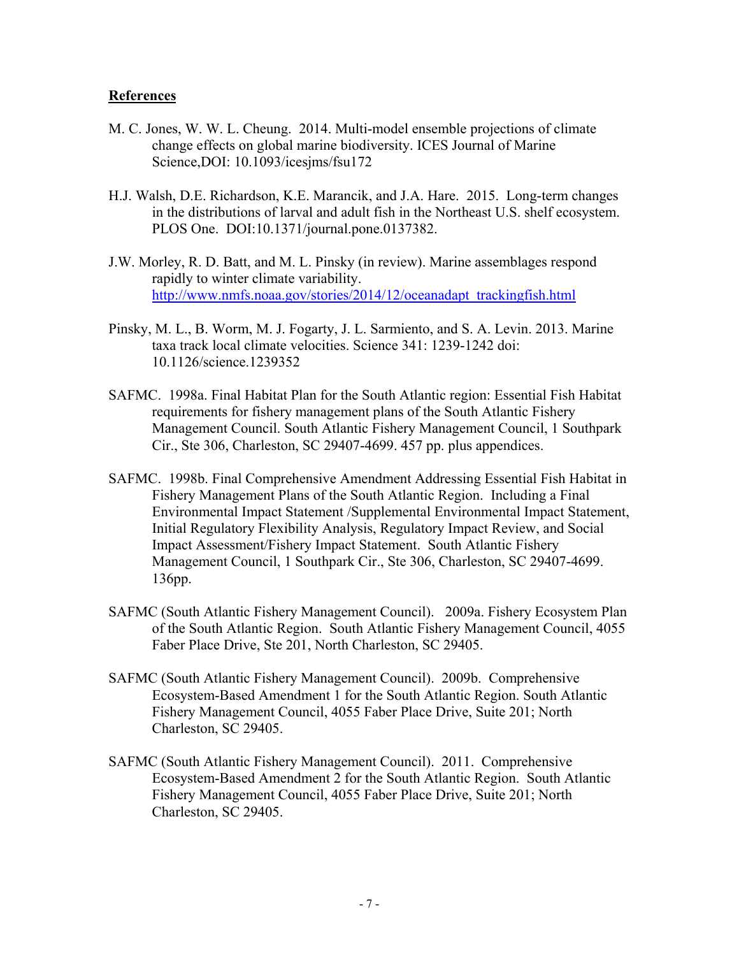#### **References**

- M. C. Jones, W. W. L. Cheung. 2014. Multi-model ensemble projections of climate change effects on global marine biodiversity. ICES Journal of Marine Science,DOI: 10.1093/icesjms/fsu172
- H.J. Walsh, D.E. Richardson, K.E. Marancik, and J.A. Hare. 2015. Long-term changes in the distributions of larval and adult fish in the Northeast U.S. shelf ecosystem. PLOS One. DOI:10.1371/journal.pone.0137382.
- J.W. Morley, R. D. Batt, and M. L. Pinsky (in review). Marine assemblages respond rapidly to winter climate variability. http://www.nmfs.noaa.gov/stories/2014/12/oceanadapt\_trackingfish.html
- Pinsky, M. L., B. Worm, M. J. Fogarty, J. L. Sarmiento, and S. A. Levin. 2013. Marine taxa track local climate velocities. Science 341: 1239-1242 doi: 10.1126/science.1239352
- SAFMC. 1998a. Final Habitat Plan for the South Atlantic region: Essential Fish Habitat requirements for fishery management plans of the South Atlantic Fishery Management Council. South Atlantic Fishery Management Council, 1 Southpark Cir., Ste 306, Charleston, SC 29407-4699. 457 pp. plus appendices.
- SAFMC. 1998b. Final Comprehensive Amendment Addressing Essential Fish Habitat in Fishery Management Plans of the South Atlantic Region. Including a Final Environmental Impact Statement /Supplemental Environmental Impact Statement, Initial Regulatory Flexibility Analysis, Regulatory Impact Review, and Social Impact Assessment/Fishery Impact Statement. South Atlantic Fishery Management Council, 1 Southpark Cir., Ste 306, Charleston, SC 29407-4699. 136pp.
- SAFMC (South Atlantic Fishery Management Council). 2009a. Fishery Ecosystem Plan of the South Atlantic Region. South Atlantic Fishery Management Council, 4055 Faber Place Drive, Ste 201, North Charleston, SC 29405.
- SAFMC (South Atlantic Fishery Management Council). 2009b. Comprehensive Ecosystem-Based Amendment 1 for the South Atlantic Region. South Atlantic Fishery Management Council, 4055 Faber Place Drive, Suite 201; North Charleston, SC 29405.
- SAFMC (South Atlantic Fishery Management Council). 2011. Comprehensive Ecosystem-Based Amendment 2 for the South Atlantic Region. South Atlantic Fishery Management Council, 4055 Faber Place Drive, Suite 201; North Charleston, SC 29405.